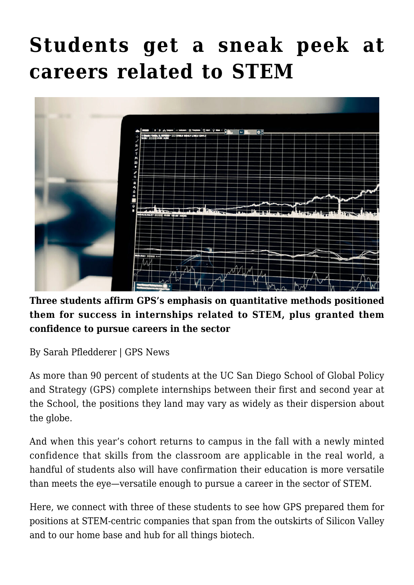## **[Students get a sneak peek at](https://gpsnews.ucsd.edu/students-get-a-sneak-peek-at-careers-related-to-stem/) [careers related to STEM](https://gpsnews.ucsd.edu/students-get-a-sneak-peek-at-careers-related-to-stem/)**



**Three students affirm GPS's emphasis on quantitative methods positioned them for success in internships related to STEM, plus granted them confidence to pursue careers in the sector**

By Sarah Pfledderer | GPS News

As more than 90 percent of students at the UC San Diego School of Global Policy and Strategy (GPS) complete internships between their first and second year at the School, the positions they land may vary as widely as their dispersion about the globe.

And when this year's cohort returns to campus in the fall with a newly minted confidence that skills from the classroom are applicable in the real world, a handful of students also will have confirmation their education is more versatile than meets the eye—versatile enough to pursue a career in the sector of STEM.

Here, we connect with three of these students to see how GPS prepared them for positions at STEM-centric companies that span from the outskirts of Silicon Valley and to our home base and hub for all things biotech.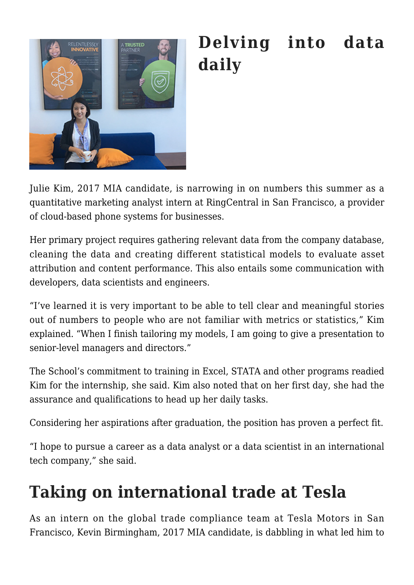

## **Delving into data daily**

Julie Kim, 2017 MIA candidate, is narrowing in on numbers this summer as a quantitative marketing analyst intern at RingCentral in San Francisco, a provider of cloud-based phone systems for businesses.

Her primary project requires gathering relevant data from the company database, cleaning the data and creating different statistical models to evaluate asset attribution and content performance. This also entails some communication with developers, data scientists and engineers.

"I've learned it is very important to be able to tell clear and meaningful stories out of numbers to people who are not familiar with metrics or statistics," Kim explained. "When I finish tailoring my models, I am going to give a presentation to senior-level managers and directors."

The School's commitment to training in Excel, STATA and other programs readied Kim for the internship, she said. Kim also noted that on her first day, she had the assurance and qualifications to head up her daily tasks.

Considering her aspirations after graduation, the position has proven a perfect fit.

"I hope to pursue a career as a data analyst or a data scientist in an international tech company," she said.

## **Taking on international trade at Tesla**

As an intern on the global trade compliance team at Tesla Motors in San Francisco, Kevin Birmingham, 2017 MIA candidate, is dabbling in what led him to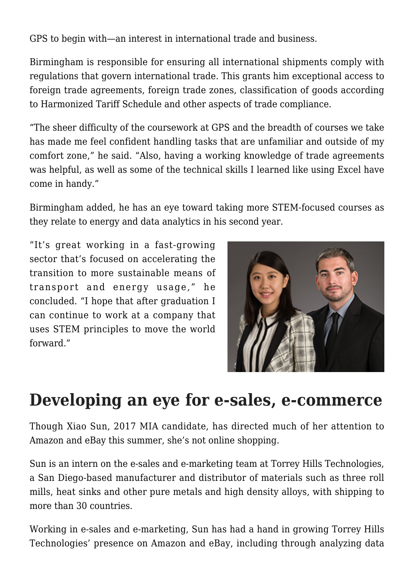GPS to begin with—an interest in international trade and business.

Birmingham is responsible for ensuring all international shipments comply with regulations that govern international trade. This grants him exceptional access to foreign trade agreements, foreign trade zones, classification of goods according to Harmonized Tariff Schedule and other aspects of trade compliance.

"The sheer difficulty of the coursework at GPS and the breadth of courses we take has made me feel confident handling tasks that are unfamiliar and outside of my comfort zone," he said. "Also, having a working knowledge of trade agreements was helpful, as well as some of the technical skills I learned like using Excel have come in handy."

Birmingham added, he has an eye toward taking more STEM-focused courses as they relate to energy and data analytics in his second year.

"It's great working in a fast-growing sector that's focused on accelerating the transition to more sustainable means of transport and energy usage," he concluded. "I hope that after graduation I can continue to work at a company that uses STEM principles to move the world forward."



## **Developing an eye for e-sales, e-commerce**

Though Xiao Sun, 2017 MIA candidate, has directed much of her attention to Amazon and eBay this summer, she's not online shopping.

Sun is an intern on the e-sales and e-marketing team at Torrey Hills Technologies, a San Diego-based manufacturer and distributor of materials such as three roll mills, heat sinks and other pure metals and high density alloys, with shipping to more than 30 countries.

Working in e-sales and e-marketing, Sun has had a hand in growing Torrey Hills Technologies' presence on Amazon and eBay, including through analyzing data